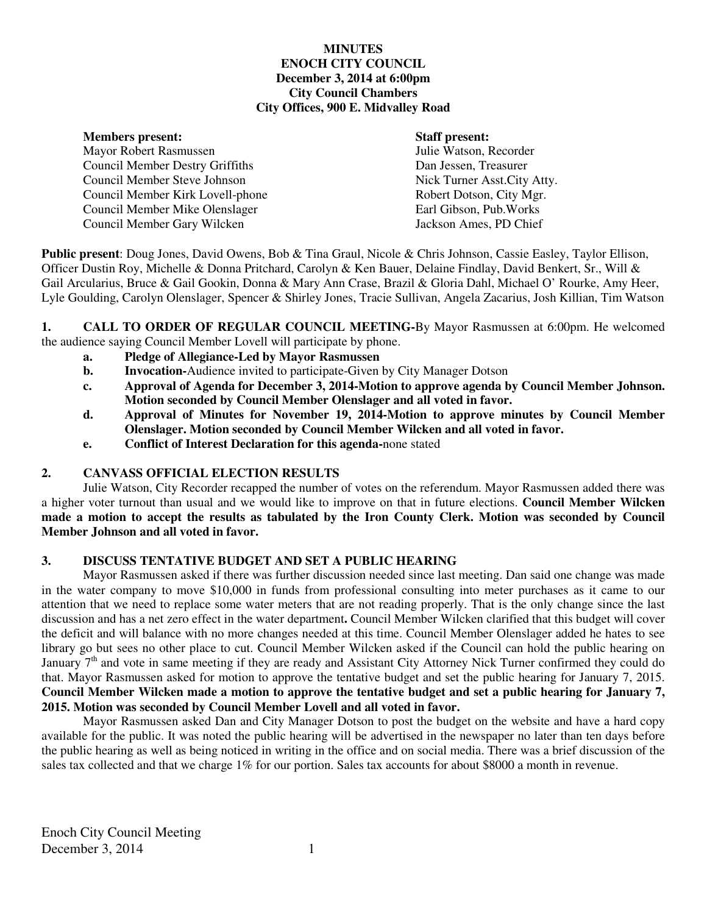## **MINUTES ENOCH CITY COUNCIL December 3, 2014 at 6:00pm City Council Chambers City Offices, 900 E. Midvalley Road**

#### **Members present: Staff present:**

Mayor Robert Rasmussen Julie Watson, Recorder Council Member Destry Griffiths Dan Jessen, Treasurer Council Member Steve Johnson Nick Turner Asst.City Atty. Council Member Kirk Lovell-phone Robert Dotson, City Mgr. Council Member Mike Olenslager Earl Gibson, Pub.Works Council Member Gary Wilcken Jackson Ames, PD Chief

**Public present**: Doug Jones, David Owens, Bob & Tina Graul, Nicole & Chris Johnson, Cassie Easley, Taylor Ellison, Officer Dustin Roy, Michelle & Donna Pritchard, Carolyn & Ken Bauer, Delaine Findlay, David Benkert, Sr., Will & Gail Arcularius, Bruce & Gail Gookin, Donna & Mary Ann Crase, Brazil & Gloria Dahl, Michael O' Rourke, Amy Heer, Lyle Goulding, Carolyn Olenslager, Spencer & Shirley Jones, Tracie Sullivan, Angela Zacarius, Josh Killian, Tim Watson

**1. CALL TO ORDER OF REGULAR COUNCIL MEETING-By Mayor Rasmussen at 6:00pm. He welcomed** the audience saying Council Member Lovell will participate by phone.

- **a. Pledge of Allegiance-Led by Mayor Rasmussen**
- **b.** Invocation-Audience invited to participate-Given by City Manager Dotson
- **c. Approval of Agenda for December 3, 2014-Motion to approve agenda by Council Member Johnson. Motion seconded by Council Member Olenslager and all voted in favor.**
- **d. Approval of Minutes for November 19, 2014-Motion to approve minutes by Council Member Olenslager. Motion seconded by Council Member Wilcken and all voted in favor.**
- **e. Conflict of Interest Declaration for this agenda-**none stated

# **2. CANVASS OFFICIAL ELECTION RESULTS**

Julie Watson, City Recorder recapped the number of votes on the referendum. Mayor Rasmussen added there was a higher voter turnout than usual and we would like to improve on that in future elections. **Council Member Wilcken made a motion to accept the results as tabulated by the Iron County Clerk. Motion was seconded by Council Member Johnson and all voted in favor.** 

### **3. DISCUSS TENTATIVE BUDGET AND SET A PUBLIC HEARING**

Mayor Rasmussen asked if there was further discussion needed since last meeting. Dan said one change was made in the water company to move \$10,000 in funds from professional consulting into meter purchases as it came to our attention that we need to replace some water meters that are not reading properly. That is the only change since the last discussion and has a net zero effect in the water department**.** Council Member Wilcken clarified that this budget will cover the deficit and will balance with no more changes needed at this time. Council Member Olenslager added he hates to see library go but sees no other place to cut. Council Member Wilcken asked if the Council can hold the public hearing on January 7<sup>th</sup> and vote in same meeting if they are ready and Assistant City Attorney Nick Turner confirmed they could do that. Mayor Rasmussen asked for motion to approve the tentative budget and set the public hearing for January 7, 2015. **Council Member Wilcken made a motion to approve the tentative budget and set a public hearing for January 7, 2015. Motion was seconded by Council Member Lovell and all voted in favor.** 

Mayor Rasmussen asked Dan and City Manager Dotson to post the budget on the website and have a hard copy available for the public. It was noted the public hearing will be advertised in the newspaper no later than ten days before the public hearing as well as being noticed in writing in the office and on social media. There was a brief discussion of the sales tax collected and that we charge 1% for our portion. Sales tax accounts for about \$8000 a month in revenue.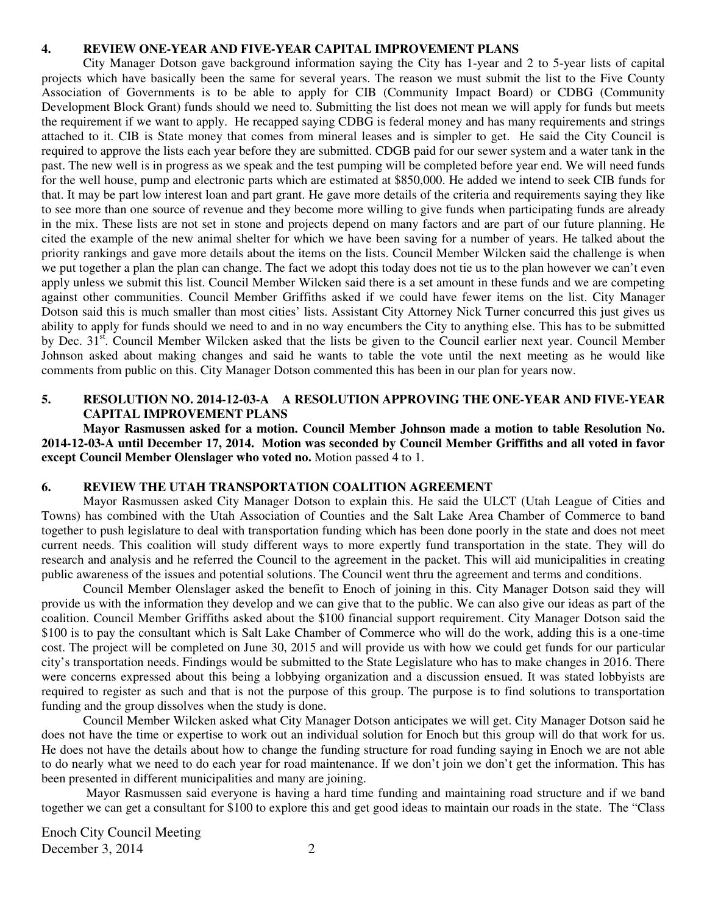#### **4. REVIEW ONE-YEAR AND FIVE-YEAR CAPITAL IMPROVEMENT PLANS**

City Manager Dotson gave background information saying the City has 1-year and 2 to 5-year lists of capital projects which have basically been the same for several years. The reason we must submit the list to the Five County Association of Governments is to be able to apply for CIB (Community Impact Board) or CDBG (Community Development Block Grant) funds should we need to. Submitting the list does not mean we will apply for funds but meets the requirement if we want to apply. He recapped saying CDBG is federal money and has many requirements and strings attached to it. CIB is State money that comes from mineral leases and is simpler to get. He said the City Council is required to approve the lists each year before they are submitted. CDGB paid for our sewer system and a water tank in the past. The new well is in progress as we speak and the test pumping will be completed before year end. We will need funds for the well house, pump and electronic parts which are estimated at \$850,000. He added we intend to seek CIB funds for that. It may be part low interest loan and part grant. He gave more details of the criteria and requirements saying they like to see more than one source of revenue and they become more willing to give funds when participating funds are already in the mix. These lists are not set in stone and projects depend on many factors and are part of our future planning. He cited the example of the new animal shelter for which we have been saving for a number of years. He talked about the priority rankings and gave more details about the items on the lists. Council Member Wilcken said the challenge is when we put together a plan the plan can change. The fact we adopt this today does not tie us to the plan however we can't even apply unless we submit this list. Council Member Wilcken said there is a set amount in these funds and we are competing against other communities. Council Member Griffiths asked if we could have fewer items on the list. City Manager Dotson said this is much smaller than most cities' lists. Assistant City Attorney Nick Turner concurred this just gives us ability to apply for funds should we need to and in no way encumbers the City to anything else. This has to be submitted by Dec. 31<sup>st</sup>. Council Member Wilcken asked that the lists be given to the Council earlier next year. Council Member Johnson asked about making changes and said he wants to table the vote until the next meeting as he would like comments from public on this. City Manager Dotson commented this has been in our plan for years now.

## **5. RESOLUTION NO. 2014-12-03-A A RESOLUTION APPROVING THE ONE-YEAR AND FIVE-YEAR CAPITAL IMPROVEMENT PLANS**

**Mayor Rasmussen asked for a motion. Council Member Johnson made a motion to table Resolution No. 2014-12-03-A until December 17, 2014. Motion was seconded by Council Member Griffiths and all voted in favor except Council Member Olenslager who voted no.** Motion passed 4 to 1.

#### **6. REVIEW THE UTAH TRANSPORTATION COALITION AGREEMENT**

Mayor Rasmussen asked City Manager Dotson to explain this. He said the ULCT (Utah League of Cities and Towns) has combined with the Utah Association of Counties and the Salt Lake Area Chamber of Commerce to band together to push legislature to deal with transportation funding which has been done poorly in the state and does not meet current needs. This coalition will study different ways to more expertly fund transportation in the state. They will do research and analysis and he referred the Council to the agreement in the packet. This will aid municipalities in creating public awareness of the issues and potential solutions. The Council went thru the agreement and terms and conditions.

Council Member Olenslager asked the benefit to Enoch of joining in this. City Manager Dotson said they will provide us with the information they develop and we can give that to the public. We can also give our ideas as part of the coalition. Council Member Griffiths asked about the \$100 financial support requirement. City Manager Dotson said the \$100 is to pay the consultant which is Salt Lake Chamber of Commerce who will do the work, adding this is a one-time cost. The project will be completed on June 30, 2015 and will provide us with how we could get funds for our particular city's transportation needs. Findings would be submitted to the State Legislature who has to make changes in 2016. There were concerns expressed about this being a lobbying organization and a discussion ensued. It was stated lobbyists are required to register as such and that is not the purpose of this group. The purpose is to find solutions to transportation funding and the group dissolves when the study is done.

Council Member Wilcken asked what City Manager Dotson anticipates we will get. City Manager Dotson said he does not have the time or expertise to work out an individual solution for Enoch but this group will do that work for us. He does not have the details about how to change the funding structure for road funding saying in Enoch we are not able to do nearly what we need to do each year for road maintenance. If we don't join we don't get the information. This has been presented in different municipalities and many are joining.

Mayor Rasmussen said everyone is having a hard time funding and maintaining road structure and if we band together we can get a consultant for \$100 to explore this and get good ideas to maintain our roads in the state. The "Class

Enoch City Council Meeting December 3, 2014 2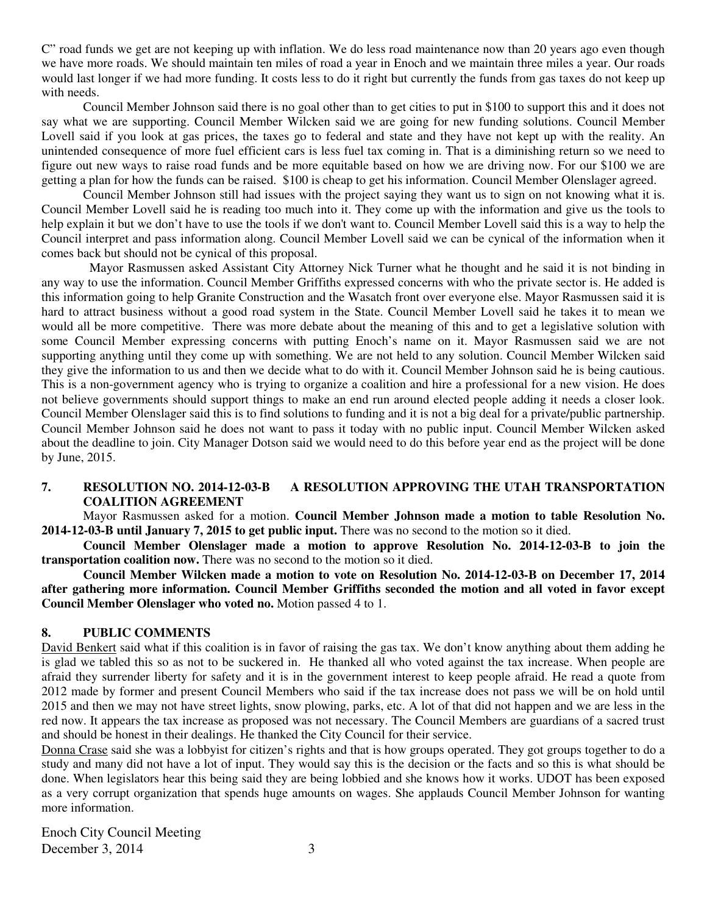C" road funds we get are not keeping up with inflation. We do less road maintenance now than 20 years ago even though we have more roads. We should maintain ten miles of road a year in Enoch and we maintain three miles a year. Our roads would last longer if we had more funding. It costs less to do it right but currently the funds from gas taxes do not keep up with needs.

Council Member Johnson said there is no goal other than to get cities to put in \$100 to support this and it does not say what we are supporting. Council Member Wilcken said we are going for new funding solutions. Council Member Lovell said if you look at gas prices, the taxes go to federal and state and they have not kept up with the reality. An unintended consequence of more fuel efficient cars is less fuel tax coming in. That is a diminishing return so we need to figure out new ways to raise road funds and be more equitable based on how we are driving now. For our \$100 we are getting a plan for how the funds can be raised. \$100 is cheap to get his information. Council Member Olenslager agreed.

Council Member Johnson still had issues with the project saying they want us to sign on not knowing what it is. Council Member Lovell said he is reading too much into it. They come up with the information and give us the tools to help explain it but we don't have to use the tools if we don't want to. Council Member Lovell said this is a way to help the Council interpret and pass information along. Council Member Lovell said we can be cynical of the information when it comes back but should not be cynical of this proposal.

 Mayor Rasmussen asked Assistant City Attorney Nick Turner what he thought and he said it is not binding in any way to use the information. Council Member Griffiths expressed concerns with who the private sector is. He added is this information going to help Granite Construction and the Wasatch front over everyone else. Mayor Rasmussen said it is hard to attract business without a good road system in the State. Council Member Lovell said he takes it to mean we would all be more competitive. There was more debate about the meaning of this and to get a legislative solution with some Council Member expressing concerns with putting Enoch's name on it. Mayor Rasmussen said we are not supporting anything until they come up with something. We are not held to any solution. Council Member Wilcken said they give the information to us and then we decide what to do with it. Council Member Johnson said he is being cautious. This is a non-government agency who is trying to organize a coalition and hire a professional for a new vision. He does not believe governments should support things to make an end run around elected people adding it needs a closer look. Council Member Olenslager said this is to find solutions to funding and it is not a big deal for a private/public partnership. Council Member Johnson said he does not want to pass it today with no public input. Council Member Wilcken asked about the deadline to join. City Manager Dotson said we would need to do this before year end as the project will be done by June, 2015.

### **7. RESOLUTION NO. 2014-12-03-B A RESOLUTION APPROVING THE UTAH TRANSPORTATION COALITION AGREEMENT**

Mayor Rasmussen asked for a motion. **Council Member Johnson made a motion to table Resolution No. 2014-12-03-B until January 7, 2015 to get public input.** There was no second to the motion so it died.

**Council Member Olenslager made a motion to approve Resolution No. 2014-12-03-B to join the transportation coalition now.** There was no second to the motion so it died.

**Council Member Wilcken made a motion to vote on Resolution No. 2014-12-03-B on December 17, 2014 after gathering more information. Council Member Griffiths seconded the motion and all voted in favor except Council Member Olenslager who voted no.** Motion passed 4 to 1.

### **8. PUBLIC COMMENTS**

David Benkert said what if this coalition is in favor of raising the gas tax. We don't know anything about them adding he is glad we tabled this so as not to be suckered in. He thanked all who voted against the tax increase. When people are afraid they surrender liberty for safety and it is in the government interest to keep people afraid. He read a quote from 2012 made by former and present Council Members who said if the tax increase does not pass we will be on hold until 2015 and then we may not have street lights, snow plowing, parks, etc. A lot of that did not happen and we are less in the red now. It appears the tax increase as proposed was not necessary. The Council Members are guardians of a sacred trust and should be honest in their dealings. He thanked the City Council for their service.

Donna Crase said she was a lobbyist for citizen's rights and that is how groups operated. They got groups together to do a study and many did not have a lot of input. They would say this is the decision or the facts and so this is what should be done. When legislators hear this being said they are being lobbied and she knows how it works. UDOT has been exposed as a very corrupt organization that spends huge amounts on wages. She applauds Council Member Johnson for wanting more information.

Enoch City Council Meeting December 3, 2014 3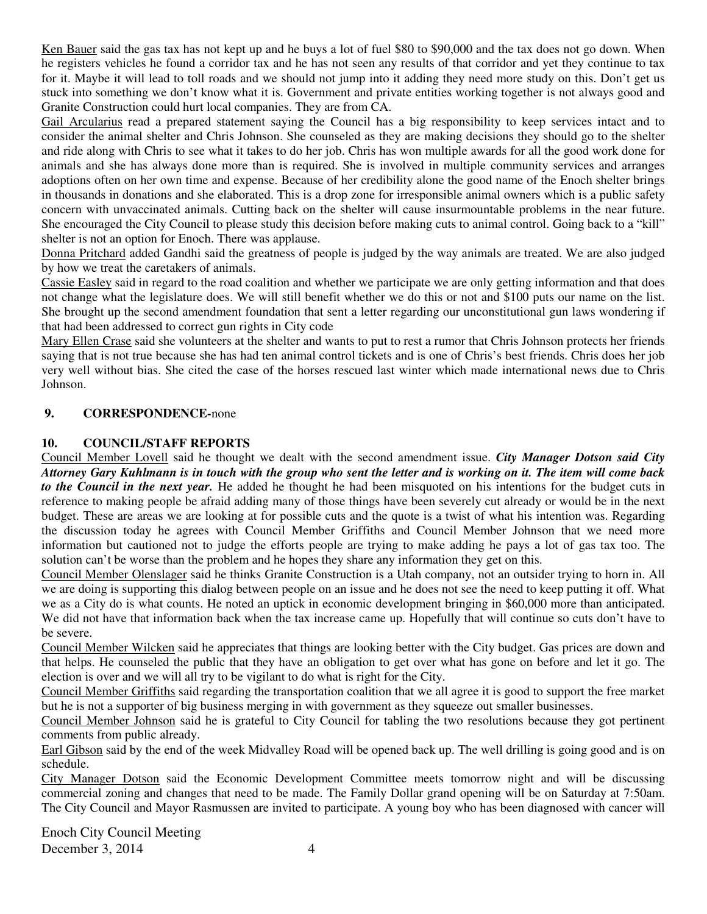Ken Bauer said the gas tax has not kept up and he buys a lot of fuel \$80 to \$90,000 and the tax does not go down. When he registers vehicles he found a corridor tax and he has not seen any results of that corridor and yet they continue to tax for it. Maybe it will lead to toll roads and we should not jump into it adding they need more study on this. Don't get us stuck into something we don't know what it is. Government and private entities working together is not always good and Granite Construction could hurt local companies. They are from CA.

Gail Arcularius read a prepared statement saying the Council has a big responsibility to keep services intact and to consider the animal shelter and Chris Johnson. She counseled as they are making decisions they should go to the shelter and ride along with Chris to see what it takes to do her job. Chris has won multiple awards for all the good work done for animals and she has always done more than is required. She is involved in multiple community services and arranges adoptions often on her own time and expense. Because of her credibility alone the good name of the Enoch shelter brings in thousands in donations and she elaborated. This is a drop zone for irresponsible animal owners which is a public safety concern with unvaccinated animals. Cutting back on the shelter will cause insurmountable problems in the near future. She encouraged the City Council to please study this decision before making cuts to animal control. Going back to a "kill" shelter is not an option for Enoch. There was applause.

Donna Pritchard added Gandhi said the greatness of people is judged by the way animals are treated. We are also judged by how we treat the caretakers of animals.

Cassie Easley said in regard to the road coalition and whether we participate we are only getting information and that does not change what the legislature does. We will still benefit whether we do this or not and \$100 puts our name on the list. She brought up the second amendment foundation that sent a letter regarding our unconstitutional gun laws wondering if that had been addressed to correct gun rights in City code

Mary Ellen Crase said she volunteers at the shelter and wants to put to rest a rumor that Chris Johnson protects her friends saying that is not true because she has had ten animal control tickets and is one of Chris's best friends. Chris does her job very well without bias. She cited the case of the horses rescued last winter which made international news due to Chris Johnson.

# **9. CORRESPONDENCE-**none

## **10. COUNCIL/STAFF REPORTS**

Council Member Lovell said he thought we dealt with the second amendment issue. *City Manager Dotson said City Attorney Gary Kuhlmann is in touch with the group who sent the letter and is working on it. The item will come back to the Council in the next year.* He added he thought he had been misquoted on his intentions for the budget cuts in reference to making people be afraid adding many of those things have been severely cut already or would be in the next budget. These are areas we are looking at for possible cuts and the quote is a twist of what his intention was. Regarding the discussion today he agrees with Council Member Griffiths and Council Member Johnson that we need more information but cautioned not to judge the efforts people are trying to make adding he pays a lot of gas tax too. The solution can't be worse than the problem and he hopes they share any information they get on this.

Council Member Olenslager said he thinks Granite Construction is a Utah company, not an outsider trying to horn in. All we are doing is supporting this dialog between people on an issue and he does not see the need to keep putting it off. What we as a City do is what counts. He noted an uptick in economic development bringing in \$60,000 more than anticipated. We did not have that information back when the tax increase came up. Hopefully that will continue so cuts don't have to be severe.

Council Member Wilcken said he appreciates that things are looking better with the City budget. Gas prices are down and that helps. He counseled the public that they have an obligation to get over what has gone on before and let it go. The election is over and we will all try to be vigilant to do what is right for the City.

Council Member Griffiths said regarding the transportation coalition that we all agree it is good to support the free market but he is not a supporter of big business merging in with government as they squeeze out smaller businesses.

Council Member Johnson said he is grateful to City Council for tabling the two resolutions because they got pertinent comments from public already.

Earl Gibson said by the end of the week Midvalley Road will be opened back up. The well drilling is going good and is on schedule.

City Manager Dotson said the Economic Development Committee meets tomorrow night and will be discussing commercial zoning and changes that need to be made. The Family Dollar grand opening will be on Saturday at 7:50am. The City Council and Mayor Rasmussen are invited to participate. A young boy who has been diagnosed with cancer will

Enoch City Council Meeting December 3, 2014  $\overline{4}$